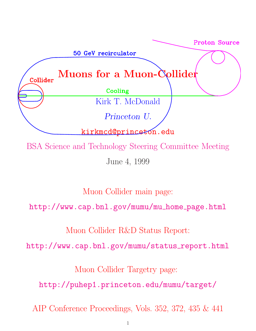

June 4, 1999

Muon Collider main page:

http://www.cap.bnl.gov/mumu/mu home page.html

Muon Collider R&D Status Report:

http://www.cap.bnl.gov/mumu/status\_report.html

Muon Collider Targetry page:

http://puhep1.princeton.edu/mumu/target/

AIP Conference Proceedings, Vols. 352, 372, 435 & 441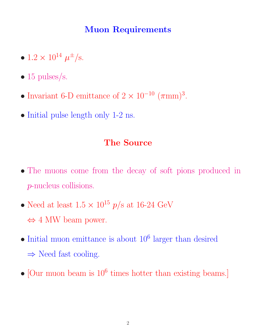# **Muon Requirements**

- $1.2 \times 10^{14} \mu^{\pm}/s$ .
- 15 pulses/s.
- Invariant 6-D emittance of  $2 \times 10^{-10}$   $(\pi \text{mm})^3$ .
- Initial pulse length only 1-2 ns.

#### **The Source**

- The muons come from the decay of soft pions produced in p-nucleus collisions.
- Need at least  $1.5 \times 10^{15}$  p/s at 16-24 GeV ⇔ 4 MW beam power.
- $\bullet$  Initial muon emittance is about  $10^6$  larger than desired  $\Rightarrow$  Need fast cooling.
- [Our muon beam is  $10^6$  times hotter than existing beams.]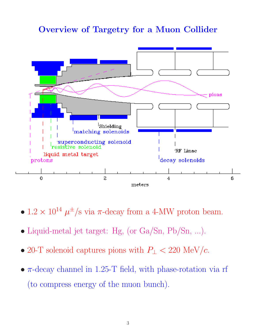#### **Overview of Targetry for a Muon Collider**



- $1.2 \times 10^{14} \mu^{\pm}/s$  via  $\pi$ -decay from a 4-MW proton beam.
- Liquid-metal jet target: Hg, (or Ga/Sn, Pb/Sn, ...).
- 20-T solenoid captures pions with  $P_{\perp}$  < 220 MeV/c.
- $\pi$ -decay channel in 1.25-T field, with phase-rotation via rf (to compress energy of the muon bunch).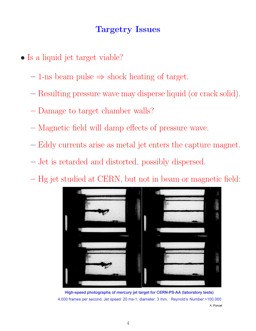### **Targetry Issues**

- Is a liquid jet target viable?
	- **–** 1-ns beam pulse ⇒ shock heating of target.
	- **–** Resulting pressure wave may disperse liquid (or crack solid).
	- **–** Damage to target chamber walls?
	- **–** Magnetic field will damp effects of pressure wave.
	- **–** Eddy currents arise as metal jet enters the capture magnet.
	- **–** Jet is retarded and distorted, possibly dispersed.
	- **–** Hg jet studied at CERN, but not in beam or magnetic field:



High-speed photographs of mercury jet target for CERN-PS-AA (laboratory tests) 4.000 frames per second. Jet speed: 20 ms-1. diameter: 3 mm. Revnold's Number:>100.000 A. Poncet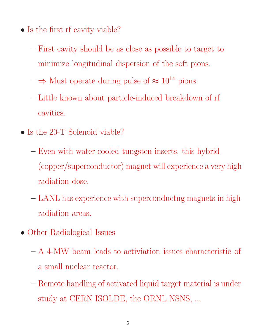- Is the first rf cavity viable?
	- **–** First cavity should be as close as possible to target to minimize longitudinal dispersion of the soft pions.
	- $-\Rightarrow$  Must operate during pulse of  $\approx 10^{14}$  pions.
	- **–** Little known about particle-induced breakdown of rf cavities.
- Is the 20-T Solenoid viable?
	- **–** Even with water-cooled tungsten inserts, this hybrid (copper/superconductor) magnet will experience a very high radiation dose.
	- **–** LANL has experience with superconductng magnets in high radiation areas.
- Other Radiological Issues
	- **–** A 4-MW beam leads to activiation issues characteristic of a small nuclear reactor.
	- **–** Remote handling of activated liquid target material is under study at CERN ISOLDE, the ORNL NSNS, ...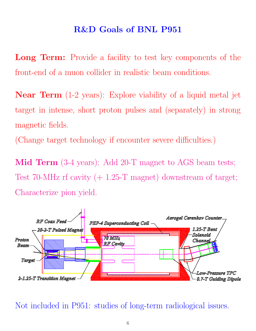### **R&D Goals of BNL P951**

**Long Term:** Provide a facility to test key components of the front-end of a muon collider in realistic beam conditions.

**Near Term** (1-2 years): Explore viability of a liquid metal jet target in intense, short proton pulses and (separately) in strong magnetic fields.

(Change target technology if encounter severe difficulties.)

**Mid Term** (3-4 years): Add 20-T magnet to AGS beam tests; Test 70-MHz rf cavity  $(+ 1.25-T$  magnet) downstream of target; Characterize pion yield.



Not included in P951: studies of long-term radiological issues.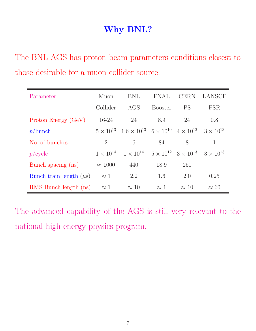# **Why BNL?**

The BNL AGS has proton beam parameters conditions closest to those desirable for a muon collider source.

| Parameter                    | Muon               | <b>BNL</b>                                                                    | FNAL           | <b>CERN</b>                           | LANSCE             |
|------------------------------|--------------------|-------------------------------------------------------------------------------|----------------|---------------------------------------|--------------------|
|                              | Collider           | AGS                                                                           | <b>Booster</b> | <b>PS</b>                             | <b>PSR</b>         |
| Proton Energy (GeV)          | $16-24$            | 24                                                                            | 8.9            | 24                                    | 0.8                |
| p/bunch                      |                    | $5 \times 10^{13}$ $1.6 \times 10^{13}$ $6 \times 10^{10}$ $4 \times 10^{12}$ |                |                                       | $3 \times 10^{13}$ |
| No. of bunches               | $\overline{2}$     | 6                                                                             | 84             | 8                                     | 1                  |
| $p$ /cycle                   | $1 \times 10^{14}$ | $1 \times 10^{14}$                                                            |                | $5 \times 10^{12}$ $3 \times 10^{13}$ | $3 \times 10^{13}$ |
| Bunch spacing (ns)           | $\approx 1000$     | 440                                                                           | 18.9           | 250                                   |                    |
| Bunch train length $(\mu s)$ | $\approx 1$        | 2.2                                                                           | 1.6            | 2.0                                   | 0.25               |
| RMS Bunch length (ns)        | $\approx 1$        | $\approx 10$                                                                  | $\approx 1$    | $\approx 10$                          | $\approx 60$       |

The advanced capability of the AGS is still very relevant to the national high energy physics program.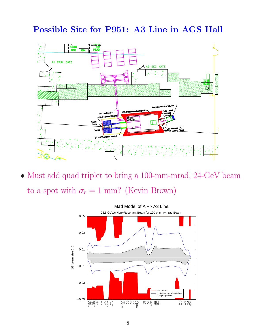# **Possible Site for P951: A3 Line in AGS Hall**



• Must add quad triplet to bring a 100-mm-mrad, 24-GeV beam to a spot with  $\sigma_r = 1$  mm? (Kevin Brown)

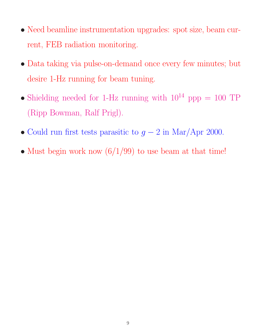- Need beamline instrumentation upgrades: spot size, beam current, FEB radiation monitoring.
- Data taking via pulse-on-demand once every few minutes; but desire 1-Hz running for beam tuning.
- Shielding needed for 1-Hz running with  $10^{14}$  ppp = 100 TP (Ripp Bowman, Ralf Prigl).
- Could run first tests parasitic to  $g 2$  in Mar/Apr 2000.
- Must begin work now  $(6/1/99)$  to use beam at that time!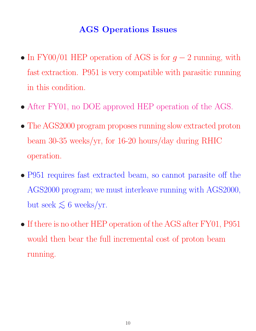# **AGS Operations Issues**

- In FY00/01 HEP operation of AGS is for  $g 2$  running, with fast extraction. P951 is very compatible with parasitic running in this condition.
- After FY01, no DOE approved HEP operation of the AGS.
- The AGS2000 program proposes running slow extracted proton beam 30-35 weeks/yr, for 16-20 hours/day during RHIC operation.
- P951 requires fast extracted beam, so cannot parasite off the AGS2000 program; we must interleave running with AGS2000, but seek  $\lesssim 6$  weeks/yr.
- If there is no other HEP operation of the AGS after FY01, P951 would then bear the full incremental cost of proton beam running.